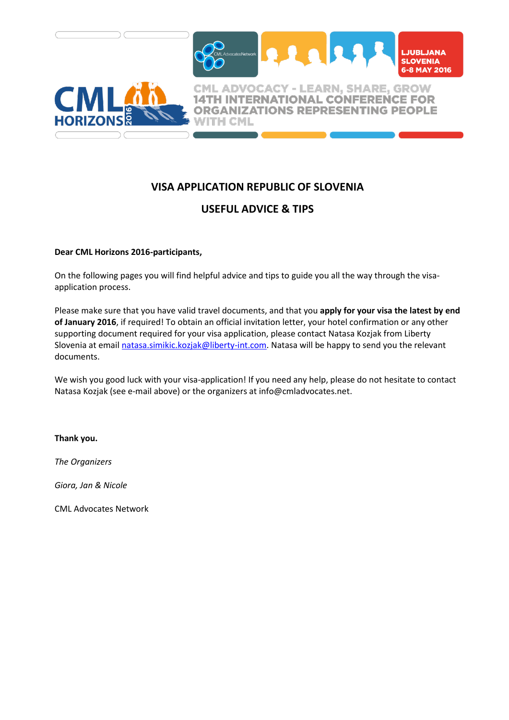

# **VISA APPLICATION REPUBLIC OF SLOVENIA**

## **USEFUL ADVICE & TIPS**

## **Dear CML Horizons 2016-participants,**

On the following pages you will find helpful advice and tips to guide you all the way through the visaapplication process.

Please make sure that you have valid travel documents, and that you **apply for your visa the latest by end of January 2016**, if required! To obtain an official invitation letter, your hotel confirmation or any other supporting document required for your visa application, please contact Natasa Kozjak from Liberty Slovenia at email [natasa.simikic.kozjak@liberty-int.com.](mailto:natasa.simikic.kozjak@liberty-int.com) Natasa will be happy to send you the relevant documents.

We wish you good luck with your visa-application! If you need any help, please do not hesitate to contact Natasa Kozjak (see e-mail above) or the organizers at info@cmladvocates.net.

#### **Thank you.**

*The Organizers*

*Giora, Jan & Nicole*

CML Advocates Network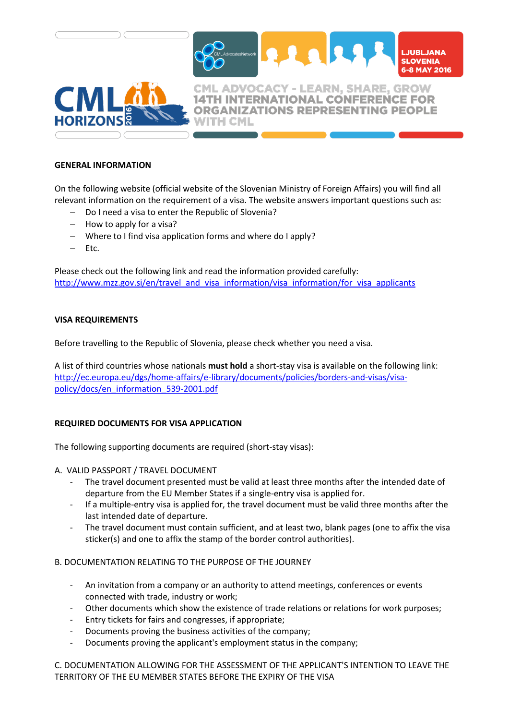

#### **GENERAL INFORMATION**

On the following website (official website of the Slovenian Ministry of Foreign Affairs) you will find all relevant information on the requirement of a visa. The website answers important questions such as:

- Do I need a visa to enter the Republic of Slovenia?
- How to apply for a visa?
- Where to I find visa application forms and where do I apply?
- Etc.

Please check out the following link and read the information provided carefully: [http://www.mzz.gov.si/en/travel\\_and\\_visa\\_information/visa\\_information/for\\_visa\\_applicants](http://www.mzz.gov.si/en/travel_and_visa_information/visa_information/for_visa_applicants)

#### **VISA REQUIREMENTS**

Before travelling to the Republic of Slovenia, please check whether you need a visa.

A list of third countries whose nationals **must hold** a short-stay visa is available on the following link: [http://ec.europa.eu/dgs/home-affairs/e-library/documents/policies/borders-and-visas/visa](http://eur-lex.europa.eu/legal-content/EN/TXT/PDF/?uri=CELEX:02001R0539-20140609&from=EN)[policy/docs/en\\_information\\_539-2001.pdf](http://eur-lex.europa.eu/legal-content/EN/TXT/PDF/?uri=CELEX:02001R0539-20140609&from=EN)

#### **REQUIRED DOCUMENTS FOR VISA APPLICATION**

The following supporting documents are required (short-stay visas):

A. VALID PASSPORT / TRAVEL DOCUMENT

- The travel document presented must be valid at least three months after the intended date of departure from the EU Member States if a single-entry visa is applied for.
- If a multiple-entry visa is applied for, the travel document must be valid three months after the last intended date of departure.
- The travel document must contain sufficient, and at least two, blank pages (one to affix the visa sticker(s) and one to affix the stamp of the border control authorities).

#### B. DOCUMENTATION RELATING TO THE PURPOSE OF THE JOURNEY

- An invitation from a company or an authority to attend meetings, conferences or events connected with trade, industry or work;
- Other documents which show the existence of trade relations or relations for work purposes;
- Entry tickets for fairs and congresses, if appropriate;
- Documents proving the business activities of the company;
- Documents proving the applicant's employment status in the company;

C. DOCUMENTATION ALLOWING FOR THE ASSESSMENT OF THE APPLICANT'S INTENTION TO LEAVE THE TERRITORY OF THE EU MEMBER STATES BEFORE THE EXPIRY OF THE VISA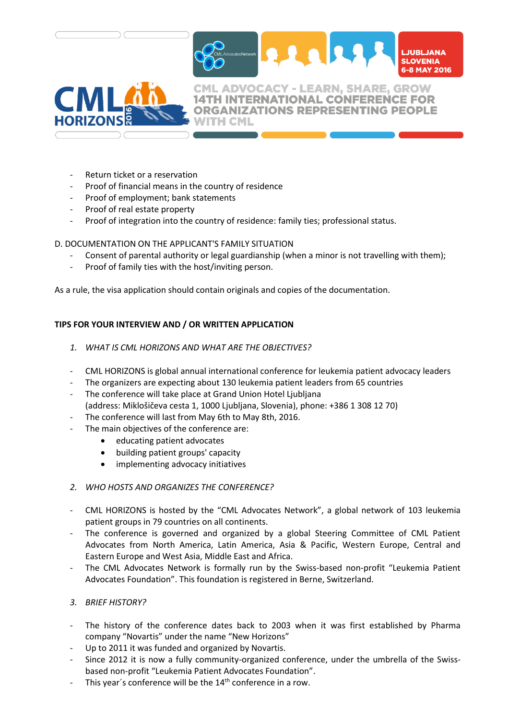



**14TH INTERNATIONAL CONFERENCE FOR ORGANIZATIONS REPRESENTING PEOPLE** 

- Return ticket or a reservation
- Proof of financial means in the country of residence
- Proof of employment; bank statements
- Proof of real estate property
- Proof of integration into the country of residence: family ties; professional status.

#### D. DOCUMENTATION ON THE APPLICANT'S FAMILY SITUATION

- Consent of parental authority or legal guardianship (when a minor is not travelling with them);
- Proof of family ties with the host/inviting person.

As a rule, the visa application should contain originals and copies of the documentation.

## **TIPS FOR YOUR INTERVIEW AND / OR WRITTEN APPLICATION**

- *1. WHAT IS CML HORIZONS AND WHAT ARE THE OBJECTIVES?*
- CML HORIZONS is global annual international conference for leukemia patient advocacy leaders
- The organizers are expecting about 130 leukemia patient leaders from 65 countries
- The conference will take place at Grand Union Hotel Ljubljana (address: Miklošičeva cesta 1, 1000 Ljubljana, Slovenia), phone: +386 1 308 12 70)
- The conference will last from May 6th to May 8th, 2016.
- The main objectives of the conference are:
	- educating patient advocates
	- building patient groups' capacity
	- implementing advocacy initiatives

#### *2. WHO HOSTS AND ORGANIZES THE CONFERENCE?*

- CML HORIZONS is hosted by the "CML Advocates Network", a global network of 103 leukemia patient groups in 79 countries on all continents.
- The conference is governed and organized by a global Steering Committee of CML Patient Advocates from North America, Latin America, Asia & Pacific, Western Europe, Central and Eastern Europe and West Asia, Middle East and Africa.
- The CML Advocates Network is formally run by the Swiss-based non-profit "Leukemia Patient Advocates Foundation". This foundation is registered in Berne, Switzerland.

#### *3. BRIEF HISTORY?*

- The history of the conference dates back to 2003 when it was first established by Pharma company "Novartis" under the name "New Horizons"
- Up to 2011 it was funded and organized by Novartis.
- Since 2012 it is now a fully community-organized conference, under the umbrella of the Swissbased non-profit "Leukemia Patient Advocates Foundation".
- This year's conference will be the 14<sup>th</sup> conference in a row.